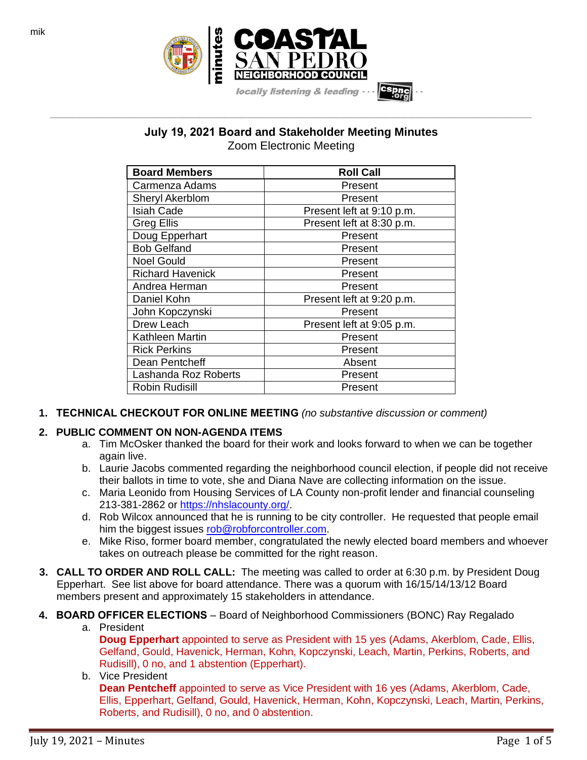

**July 19, 2021 Board and Stakeholder Meeting Minutes** Zoom Electronic Meeting

**\_\_\_\_\_\_\_\_\_\_\_\_\_\_\_\_\_\_\_\_\_\_\_\_\_\_\_\_\_\_\_\_\_\_\_\_\_\_\_\_\_\_\_\_\_\_\_\_\_\_\_\_\_\_\_\_\_\_\_\_\_\_\_\_\_\_\_\_\_\_\_\_\_\_\_\_\_\_\_\_\_\_\_\_\_\_\_\_\_\_\_\_\_\_\_\_\_\_\_\_\_\_\_\_\_\_\_\_\_\_\_\_\_**

| <b>Board Members</b>    | <b>Roll Call</b>          |  |
|-------------------------|---------------------------|--|
| Carmenza Adams          | Present                   |  |
| Sheryl Akerblom         | Present                   |  |
| <b>Isiah Cade</b>       | Present left at 9:10 p.m. |  |
| <b>Greg Ellis</b>       | Present left at 8:30 p.m. |  |
| Doug Epperhart          | Present                   |  |
| <b>Bob Gelfand</b>      | Present                   |  |
| <b>Noel Gould</b>       | Present                   |  |
| <b>Richard Havenick</b> | Present                   |  |
| Andrea Herman           | Present                   |  |
| Daniel Kohn             | Present left at 9:20 p.m. |  |
| John Kopczynski         | Present                   |  |
| Drew Leach              | Present left at 9:05 p.m. |  |
| Kathleen Martin         | Present                   |  |
| <b>Rick Perkins</b>     | Present                   |  |
| Dean Pentcheff          | Absent                    |  |
| Lashanda Roz Roberts    | Present                   |  |
| Robin Rudisill          | Present                   |  |

**1. TECHNICAL CHECKOUT FOR ONLINE MEETING** *(no substantive discussion or comment)*

# **2. PUBLIC COMMENT ON NON-AGENDA ITEMS**

- a. Tim McOsker thanked the board for their work and looks forward to when we can be together again live.
- b. Laurie Jacobs commented regarding the neighborhood council election, if people did not receive their ballots in time to vote, she and Diana Nave are collecting information on the issue.
- c. Maria Leonido from Housing Services of LA County non-profit lender and financial counseling 213-381-2862 or [https://nhslacounty.org/.](https://nhslacounty.org/)
- d. Rob Wilcox announced that he is running to be city controller. He requested that people email him the biggest issues [rob@robforcontroller.com.](mailto:rob@robforcontroller.com)
- e. Mike Riso, former board member, congratulated the newly elected board members and whoever takes on outreach please be committed for the right reason.
- **3. CALL TO ORDER AND ROLL CALL:** The meeting was called to order at 6:30 p.m. by President Doug Epperhart. See list above for board attendance. There was a quorum with 16/15/14/13/12 Board members present and approximately 15 stakeholders in attendance.
- **4. BOARD OFFICER ELECTIONS** Board of Neighborhood Commissioners (BONC) Ray Regalado
	- a. President

**Doug Epperhart** appointed to serve as President with 15 yes (Adams, Akerblom, Cade, Ellis, Gelfand, Gould, Havenick, Herman, Kohn, Kopczynski, Leach, Martin, Perkins, Roberts, and Rudisill), 0 no, and 1 abstention (Epperhart).

## b. Vice President

**Dean Pentcheff** appointed to serve as Vice President with 16 yes (Adams, Akerblom, Cade, Ellis, Epperhart, Gelfand, Gould, Havenick, Herman, Kohn, Kopczynski, Leach, Martin, Perkins, Roberts, and Rudisill), 0 no, and 0 abstention.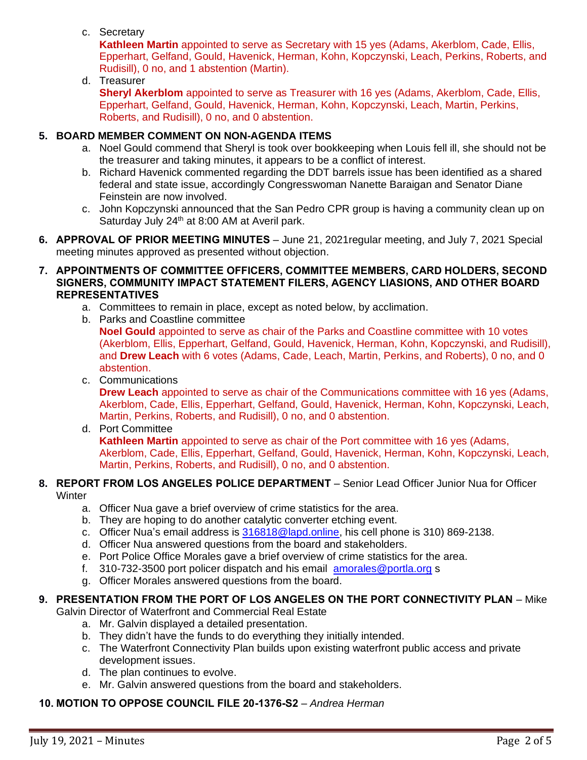c. Secretary

**Kathleen Martin** appointed to serve as Secretary with 15 yes (Adams, Akerblom, Cade, Ellis, Epperhart, Gelfand, Gould, Havenick, Herman, Kohn, Kopczynski, Leach, Perkins, Roberts, and Rudisill), 0 no, and 1 abstention (Martin).

d. Treasurer

**Sheryl Akerblom** appointed to serve as Treasurer with 16 yes (Adams, Akerblom, Cade, Ellis, Epperhart, Gelfand, Gould, Havenick, Herman, Kohn, Kopczynski, Leach, Martin, Perkins, Roberts, and Rudisill), 0 no, and 0 abstention.

## **5. BOARD MEMBER COMMENT ON NON-AGENDA ITEMS**

- a. Noel Gould commend that Sheryl is took over bookkeeping when Louis fell ill, she should not be the treasurer and taking minutes, it appears to be a conflict of interest.
- b. Richard Havenick commented regarding the DDT barrels issue has been identified as a shared federal and state issue, accordingly Congresswoman Nanette Baraigan and Senator Diane Feinstein are now involved.
- c. John Kopczynski announced that the San Pedro CPR group is having a community clean up on Saturday July 24<sup>th</sup> at 8:00 AM at Averil park.
- **6. APPROVAL OF PRIOR MEETING MINUTES** June 21, 2021regular meeting, and July 7, 2021 Special meeting minutes approved as presented without objection.
- **7. APPOINTMENTS OF COMMITTEE OFFICERS, COMMITTEE MEMBERS, CARD HOLDERS, SECOND SIGNERS, COMMUNITY IMPACT STATEMENT FILERS, AGENCY LIASIONS, AND OTHER BOARD REPRESENTATIVES**
	- a. Committees to remain in place, except as noted below, by acclimation.
	- b. Parks and Coastline committee

**Noel Gould** appointed to serve as chair of the Parks and Coastline committee with 10 votes (Akerblom, Ellis, Epperhart, Gelfand, Gould, Havenick, Herman, Kohn, Kopczynski, and Rudisill), and **Drew Leach** with 6 votes (Adams, Cade, Leach, Martin, Perkins, and Roberts), 0 no, and 0 abstention.

c. Communications

**Drew Leach** appointed to serve as chair of the Communications committee with 16 yes (Adams, Akerblom, Cade, Ellis, Epperhart, Gelfand, Gould, Havenick, Herman, Kohn, Kopczynski, Leach, Martin, Perkins, Roberts, and Rudisill), 0 no, and 0 abstention.

d. Port Committee

**Kathleen Martin** appointed to serve as chair of the Port committee with 16 yes (Adams, Akerblom, Cade, Ellis, Epperhart, Gelfand, Gould, Havenick, Herman, Kohn, Kopczynski, Leach, Martin, Perkins, Roberts, and Rudisill), 0 no, and 0 abstention.

### **8. REPORT FROM LOS ANGELES POLICE DEPARTMENT** – Senior Lead Officer Junior Nua for Officer **Winter**

- a. Officer Nua gave a brief overview of crime statistics for the area.
- b. They are hoping to do another catalytic converter etching event.
- c. Officer Nua's email address is [316818@lapd.online,](mailto:316818@lapd.online) his cell phone is 310) 869-2138.
- d. Officer Nua answered questions from the board and stakeholders.
- e. Port Police Office Morales gave a brief overview of crime statistics for the area.
- f. 310-732-3500 port policer dispatch and his email [amorales@portla.org](mailto:amorales@portla.org) s
- g. Officer Morales answered questions from the board.

# **9. PRESENTATION FROM THE PORT OF LOS ANGELES ON THE PORT CONNECTIVITY PLAN** – Mike

Galvin Director of Waterfront and Commercial Real Estate

- a. Mr. Galvin displayed a detailed presentation.
- b. They didn't have the funds to do everything they initially intended.
- c. The Waterfront Connectivity Plan builds upon existing waterfront public access and private development issues.
- d. The plan continues to evolve.
- e. Mr. Galvin answered questions from the board and stakeholders.

## **10. MOTION TO OPPOSE COUNCIL FILE 20-1376-S2** – *Andrea Herman*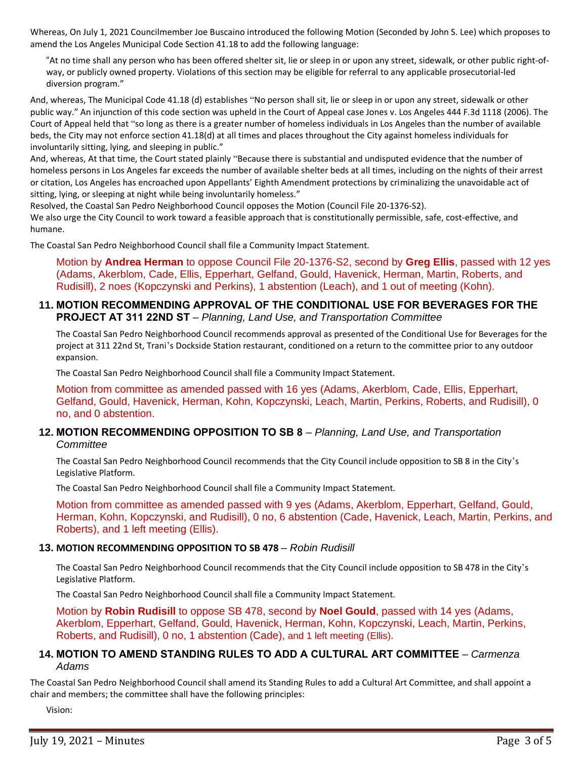Whereas, On July 1, 2021 Councilmember Joe Buscaino introduced the following Motion (Seconded by John S. Lee) which proposes to amend the Los Angeles Municipal Code Section 41.18 to add the following language:

"At no time shall any person who has been offered shelter sit, lie or sleep in or upon any street, sidewalk, or other public right-ofway, or publicly owned property. Violations of this section may be eligible for referral to any applicable prosecutorial-led diversion program."

And, whereas, The Municipal Code 41.18 (d) establishes "No person shall sit, lie or sleep in or upon any street, sidewalk or other public way." An injunction of this code section was upheld in the Court of Appeal case Jones v. Los Angeles 444 F.3d 1118 (2006). The Court of Appeal held that "so long as there is a greater number of homeless individuals in Los Angeles than the number of available beds, the City may not enforce section 41.18(d) at all times and places throughout the City against homeless individuals for involuntarily sitting, lying, and sleeping in public."

And, whereas, At that time, the Court stated plainly "Because there is substantial and undisputed evidence that the number of homeless persons in Los Angeles far exceeds the number of available shelter beds at all times, including on the nights of their arrest or citation, Los Angeles has encroached upon Appellants' Eighth Amendment protections by criminalizing the unavoidable act of sitting, lying, or sleeping at night while being involuntarily homeless."

Resolved, the Coastal San Pedro Neighborhood Council opposes the Motion (Council File 20-1376-S2). We also urge the City Council to work toward a feasible approach that is constitutionally permissible, safe, cost-effective, and humane.

The Coastal San Pedro Neighborhood Council shall file a Community Impact Statement.

Motion by **Andrea Herman** to oppose Council File 20-1376-S2, second by **Greg Ellis**, passed with 12 yes (Adams, Akerblom, Cade, Ellis, Epperhart, Gelfand, Gould, Havenick, Herman, Martin, Roberts, and Rudisill), 2 noes (Kopczynski and Perkins), 1 abstention (Leach), and 1 out of meeting (Kohn).

### **11. MOTION RECOMMENDING APPROVAL OF THE CONDITIONAL USE FOR BEVERAGES FOR THE PROJECT AT 311 22ND ST** – *Planning, Land Use, and Transportation Committee*

The Coastal San Pedro Neighborhood Council recommends approval as presented of the Conditional Use for Beverages for the project at 311 22nd St, Trani's Dockside Station restaurant, conditioned on a return to the committee prior to any outdoor expansion.

The Coastal San Pedro Neighborhood Council shall file a Community Impact Statement.

Motion from committee as amended passed with 16 yes (Adams, Akerblom, Cade, Ellis, Epperhart, Gelfand, Gould, Havenick, Herman, Kohn, Kopczynski, Leach, Martin, Perkins, Roberts, and Rudisill), 0 no, and 0 abstention.

### **12. MOTION RECOMMENDING OPPOSITION TO SB 8** – *Planning, Land Use, and Transportation Committee*

The Coastal San Pedro Neighborhood Council recommends that the City Council include opposition to SB 8 in the City's Legislative Platform.

The Coastal San Pedro Neighborhood Council shall file a Community Impact Statement.

Motion from committee as amended passed with 9 yes (Adams, Akerblom, Epperhart, Gelfand, Gould, Herman, Kohn, Kopczynski, and Rudisill), 0 no, 6 abstention (Cade, Havenick, Leach, Martin, Perkins, and Roberts), and 1 left meeting (Ellis).

### **13. MOTION RECOMMENDING OPPOSITION TO SB 478** – *Robin Rudisill*

The Coastal San Pedro Neighborhood Council recommends that the City Council include opposition to SB 478 in the City 's Legislative Platform.

The Coastal San Pedro Neighborhood Council shall file a Community Impact Statement.

Motion by **Robin Rudisill** to oppose SB 478, second by **Noel Gould**, passed with 14 yes (Adams, Akerblom, Epperhart, Gelfand, Gould, Havenick, Herman, Kohn, Kopczynski, Leach, Martin, Perkins, Roberts, and Rudisill), 0 no, 1 abstention (Cade), and 1 left meeting (Ellis).

### **14. MOTION TO AMEND STANDING RULES TO ADD A CULTURAL ART COMMITTEE** – *Carmenza Adams*

The Coastal San Pedro Neighborhood Council shall amend its Standing Rules to add a Cultural Art Committee, and shall appoint a chair and members; the committee shall have the following principles:

Vision: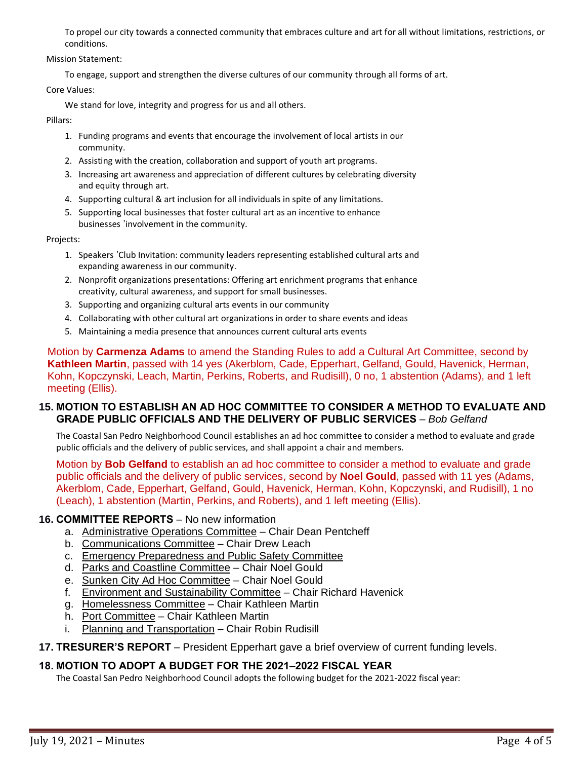To propel our city towards a connected community that embraces culture and art for all without limitations, restrictions, or conditions.

Mission Statement:

To engage, support and strengthen the diverse cultures of our community through all forms of art.

Core Values:

We stand for love, integrity and progress for us and all others.

Pillars:

- 1. Funding programs and events that encourage the involvement of local artists in our community.
- 2. Assisting with the creation, collaboration and support of youth art programs.
- 3. Increasing art awareness and appreciation of different cultures by celebrating diversity and equity through art.
- 4. Supporting cultural & art inclusion for all individuals in spite of any limitations.
- 5. Supporting local businesses that foster cultural art as an incentive to enhance businesses 'involvement in the community.

Projects:

- 1. Speakers 'Club Invitation: community leaders representing established cultural arts and expanding awareness in our community.
- 2. Nonprofit organizations presentations: Offering art enrichment programs that enhance creativity, cultural awareness, and support for small businesses.
- 3. Supporting and organizing cultural arts events in our community
- 4. Collaborating with other cultural art organizations in order to share events and ideas
- 5. Maintaining a media presence that announces current cultural arts events

Motion by **Carmenza Adams** to amend the Standing Rules to add a Cultural Art Committee, second by **Kathleen Martin**, passed with 14 yes (Akerblom, Cade, Epperhart, Gelfand, Gould, Havenick, Herman, Kohn, Kopczynski, Leach, Martin, Perkins, Roberts, and Rudisill), 0 no, 1 abstention (Adams), and 1 left meeting (Ellis).

## **15. MOTION TO ESTABLISH AN AD HOC COMMITTEE TO CONSIDER A METHOD TO EVALUATE AND GRADE PUBLIC OFFICIALS AND THE DELIVERY OF PUBLIC SERVICES** – *Bob Gelfand*

The Coastal San Pedro Neighborhood Council establishes an ad hoc committee to consider a method to evaluate and grade public officials and the delivery of public services, and shall appoint a chair and members.

Motion by **Bob Gelfand** to establish an ad hoc committee to consider a method to evaluate and grade public officials and the delivery of public services, second by **Noel Gould**, passed with 11 yes (Adams, Akerblom, Cade, Epperhart, Gelfand, Gould, Havenick, Herman, Kohn, Kopczynski, and Rudisill), 1 no (Leach), 1 abstention (Martin, Perkins, and Roberts), and 1 left meeting (Ellis).

# **16. COMMITTEE REPORTS** – No new information

- a. Administrative Operations Committee Chair Dean Pentcheff
- b. Communications Committee Chair Drew Leach
- c. Emergency Preparedness and Public Safety Committee
- d. Parks and Coastline Committee Chair Noel Gould
- e. Sunken City Ad Hoc Committee Chair Noel Gould
- f. Environment and Sustainability Committee Chair Richard Havenick
- g. Homelessness Committee Chair Kathleen Martin
- h. Port Committee Chair Kathleen Martin
- i. Planning and Transportation Chair Robin Rudisill
- **17. TRESURER'S REPORT** President Epperhart gave a brief overview of current funding levels.

# **18. MOTION TO ADOPT A BUDGET FOR THE 2021–2022 FISCAL YEAR**

The Coastal San Pedro Neighborhood Council adopts the following budget for the 2021-2022 fiscal year: